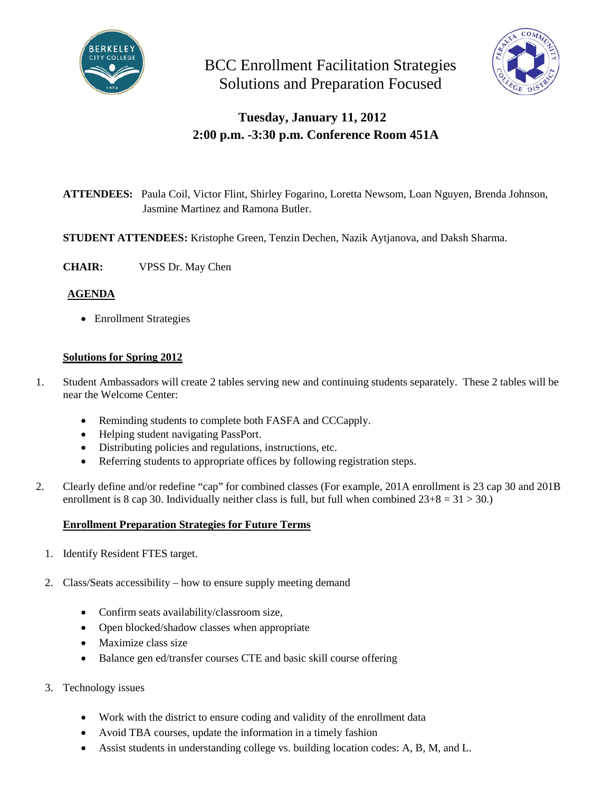

BCC Enrollment Facilitation Strategies Solutions and Preparation Focused



## **Tuesday, January 11, 2012 2:00 p.m. -3:30 p.m. Conference Room 451A**

- **ATTENDEES:** Paula Coil, Victor Flint, Shirley Fogarino, Loretta Newsom, Loan Nguyen, Brenda Johnson, Jasmine Martinez and Ramona Butler.
- **STUDENT ATTENDEES:** Kristophe Green, Tenzin Dechen, Nazik Aytjanova, and Daksh Sharma.
- **CHAIR:** VPSS Dr. May Chen

## **AGENDA**

• Enrollment Strategies

## **Solutions for Spring 2012**

- 1. Student Ambassadors will create 2 tables serving new and continuing students separately. These 2 tables will be near the Welcome Center:
	- Reminding students to complete both FASFA and CCCapply.
	- Helping student navigating PassPort.
	- Distributing policies and regulations, instructions, etc.
	- Referring students to appropriate offices by following registration steps.
- 2. Clearly define and/or redefine "cap" for combined classes (For example, 201A enrollment is 23 cap 30 and 201B enrollment is 8 cap 30. Individually neither class is full, but full when combined  $23+8 = 31 > 30$ .

## **Enrollment Preparation Strategies for Future Terms**

- 1. Identify Resident FTES target.
- 2. Class/Seats accessibility how to ensure supply meeting demand
	- Confirm seats availability/classroom size,
	- Open blocked/shadow classes when appropriate
	- Maximize class size
	- Balance gen ed/transfer courses CTE and basic skill course offering
- 3. Technology issues
	- Work with the district to ensure coding and validity of the enrollment data
	- Avoid TBA courses, update the information in a timely fashion
	- Assist students in understanding college vs. building location codes: A, B, M, and L.